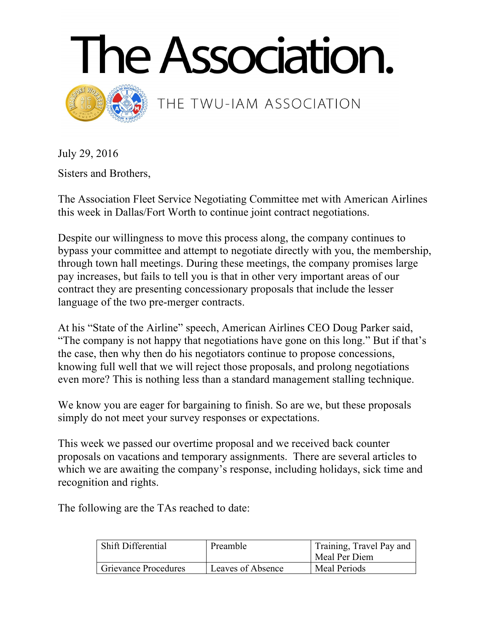



THE TWU-IAM ASSOCIATION

July 29, 2016

Sisters and Brothers,

The Association Fleet Service Negotiating Committee met with American Airlines this week in Dallas/Fort Worth to continue joint contract negotiations.

Despite our willingness to move this process along, the company continues to bypass your committee and attempt to negotiate directly with you, the membership, through town hall meetings. During these meetings, the company promises large pay increases, but fails to tell you is that in other very important areas of our contract they are presenting concessionary proposals that include the lesser language of the two pre-merger contracts.

At his "State of the Airline" speech, American Airlines CEO Doug Parker said, "The company is not happy that negotiations have gone on this long." But if that's the case, then why then do his negotiators continue to propose concessions, knowing full well that we will reject those proposals, and prolong negotiations even more? This is nothing less than a standard management stalling technique.

We know you are eager for bargaining to finish. So are we, but these proposals simply do not meet your survey responses or expectations.

This week we passed our overtime proposal and we received back counter proposals on vacations and temporary assignments. There are several articles to which we are awaiting the company's response, including holidays, sick time and recognition and rights.

The following are the TAs reached to date:

| Shift Differential   | Preamble          | Training, Travel Pay and<br>Meal Per Diem |
|----------------------|-------------------|-------------------------------------------|
| Grievance Procedures | Leaves of Absence | Meal Periods                              |